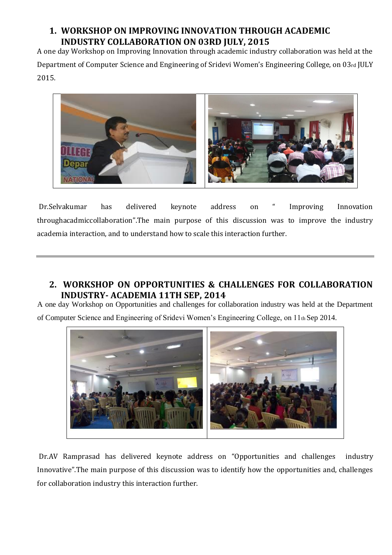## **1. WORKSHOP ON IMPROVING INNOVATION THROUGH ACADEMIC INDUSTRY COLLABORATION ON 03RD JULY, 2015**

A one day Workshop on Improving Innovation through academic industry collaboration was held at the Department of Computer Science and Engineering of Sridevi Women's Engineering College, on 03rd JULY 2015.



Dr.Selvakumar has delivered keynote address on " Improving Innovation throughacadmiccollaboration".The main purpose of this discussion was to improve the industry academia interaction, and to understand how to scale this interaction further.

## **2. WORKSHOP ON OPPORTUNITIES & CHALLENGES FOR COLLABORATION INDUSTRY- ACADEMIA 11TH SEP, 2014**

A one day Workshop on Opportunities and challenges for collaboration industry was held at the Department of Computer Science and Engineering of Sridevi Women's Engineering College, on 11th Sep 2014.



Dr.AV Ramprasad has delivered keynote address on "Opportunities and challenges industry Innovative".The main purpose of this discussion was to identify how the opportunities and, challenges for collaboration industry this interaction further.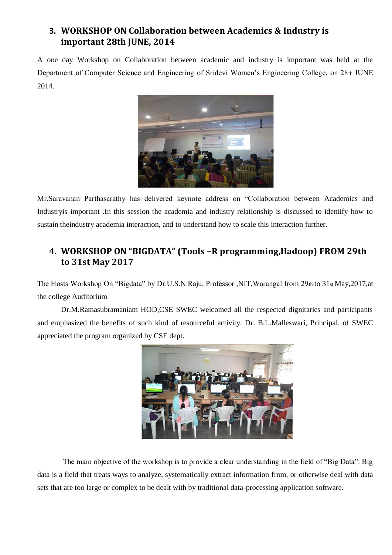### **3. WORKSHOP ON Collaboration between Academics & Industry is important 28th JUNE, 2014**

A one day Workshop on Collaboration between academic and industry is important was held at the Department of Computer Science and Engineering of Sridevi Women's Engineering College, on 28th JUNE 2014.



Mr.Saravanan Parthasarathy has delivered keynote address on "Collaboration between Academics and Industryis important .In this session the academia and industry relationship is discussed to identify how to sustain theindustry academia interaction, and to understand how to scale this interaction further.

### **4. WORKSHOP ON "BIGDATA" (Tools –R programming,Hadoop) FROM 29th to 31st May 2017**

The Hosts Workshop On "Bigdata" by Dr.U.S.N.Raju, Professor ,NIT,Warangal from 29th to 31st May,2017,at the college Auditorium

Dr.M.Ramasubramaniam HOD,CSE SWEC welcomed all the respected dignitaries and participants and emphasized the benefits of such kind of resourceful activity. Dr. B.L.Malleswari, Principal, of SWEC appreciated the program organized by CSE dept.



The main objective of the workshop is to provide a clear understanding in the field of "Big Data". Big data is a field that treats ways to analyze, systematically extract information from, or otherwise deal with data sets that are too large or complex to be dealt with by traditional data-processing application software.